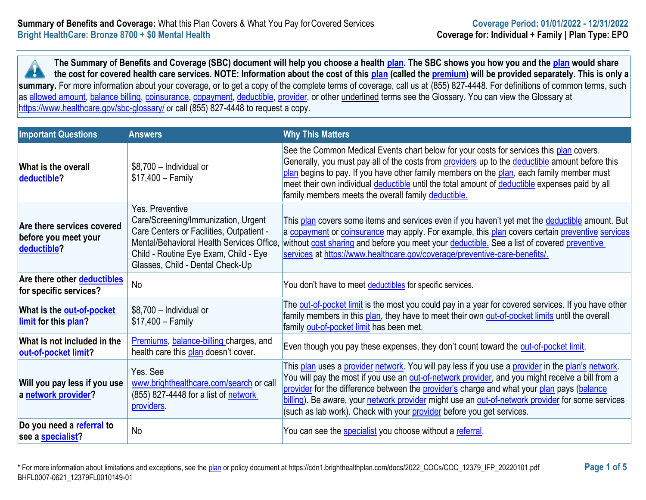**The Summary of Benefits and Coverage (SBC) document will help you choose a health [plan.](https://www.healthcare.gov/sbc-glossary/#plan) The SBC shows you how you and the [plan](https://www.healthcare.gov/sbc-glossary/#plan) would share the cost for covered health care services. NOTE: Information about the cost of this [plan](https://www.healthcare.gov/sbc-glossary/#plan) (called the [premium\)](https://www.healthcare.gov/sbc-glossary/#premium) will be provided separately. This is only a A** summary. For more information about your coverage, or to get a copy of the complete terms of coverage, call us at (855) 827-4448. For definitions of common terms, such as [allowed amount,](https://www.healthcare.gov/sbc-glossary/#allowed-amount) [balance billing,](https://www.healthcare.gov/sbc-glossary/#balance-billing) [coinsurance,](https://www.healthcare.gov/sbc-glossary/#coinsurance) [copayment,](https://www.healthcare.gov/sbc-glossary/#copayment) [deductible,](https://www.healthcare.gov/sbc-glossary/#deductible) [provider,](https://www.healthcare.gov/sbc-glossary/#provider) or other underlined terms see the Glossary. You can view the Glossary at <https://www.healthcare.gov/sbc-glossary/> or call (855) 827-4448 to request a copy.

| <b>Important Questions</b>                                        | <b>Answers</b>                                                                                                                                                                                                               | <b>Why This Matters</b>                                                                                                                                                                                                                                                                                                                                                                                                                                                                  |
|-------------------------------------------------------------------|------------------------------------------------------------------------------------------------------------------------------------------------------------------------------------------------------------------------------|------------------------------------------------------------------------------------------------------------------------------------------------------------------------------------------------------------------------------------------------------------------------------------------------------------------------------------------------------------------------------------------------------------------------------------------------------------------------------------------|
| What is the overall<br>deductible?                                | \$8,700 - Individual or<br>$$17,400 - Family$                                                                                                                                                                                | See the Common Medical Events chart below for your costs for services this plan covers.<br>Generally, you must pay all of the costs from providers up to the deductible amount before this<br>plan begins to pay. If you have other family members on the plan, each family member must<br>meet their own individual deductible until the total amount of deductible expenses paid by all<br>family members meets the overall family deductible.                                         |
| Are there services covered<br>before you meet your<br>deductible? | Yes. Preventive<br>Care/Screening/Immunization, Urgent<br>Care Centers or Facilities, Outpatient -<br>Mental/Behavioral Health Services Office.<br>Child - Routine Eye Exam, Child - Eye<br>Glasses, Child - Dental Check-Up | This plan covers some items and services even if you haven't yet met the deductible amount. But<br>a copayment or coinsurance may apply. For example, this plan covers certain preventive services<br>without cost sharing and before you meet your deductible. See a list of covered preventive<br>services at https://www.healthcare.gov/coverage/preventive-care-benefits/.                                                                                                           |
| Are there other deductibles<br>for specific services?             | <b>No</b>                                                                                                                                                                                                                    | You don't have to meet deductibles for specific services.                                                                                                                                                                                                                                                                                                                                                                                                                                |
| What is the <b>out-of-pocket</b><br>limit for this plan?          | \$8,700 - Individual or<br>$$17,400 - Family$                                                                                                                                                                                | The out-of-pocket limit is the most you could pay in a year for covered services. If you have other<br>family members in this plan, they have to meet their own out-of-pocket limits until the overall<br>family out-of-pocket limit has been met.                                                                                                                                                                                                                                       |
| What is not included in the<br>out-of-pocket limit?               | Premiums, balance-billing charges, and<br>health care this plan doesn't cover.                                                                                                                                               | Even though you pay these expenses, they don't count toward the out-of-pocket limit.                                                                                                                                                                                                                                                                                                                                                                                                     |
| Will you pay less if you use<br>a network provider?               | Yes, See<br>www.brighthealthcare.com/search or call<br>(855) 827-4448 for a list of network<br>providers.                                                                                                                    | This plan uses a provider network. You will pay less if you use a provider in the plan's network.<br>You will pay the most if you use an <b>out-of-network provider</b> , and you might receive a bill from a<br>provider for the difference between the provider's charge and what your plan pays (balance<br>billing). Be aware, your network provider might use an out-of-network provider for some services<br>(such as lab work). Check with your provider before you get services. |
| Do you need a referral to<br>see a <b>specialist?</b>             | <b>No</b>                                                                                                                                                                                                                    | You can see the <b>specialist</b> you choose without a referral.                                                                                                                                                                                                                                                                                                                                                                                                                         |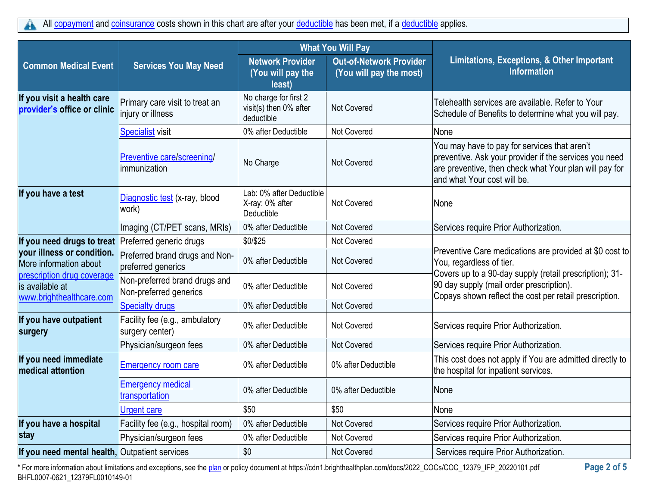|                                                                           |                                                         | <b>What You Will Pay</b>                                      |                                                           |                                                                                                                                                                                                 |
|---------------------------------------------------------------------------|---------------------------------------------------------|---------------------------------------------------------------|-----------------------------------------------------------|-------------------------------------------------------------------------------------------------------------------------------------------------------------------------------------------------|
| <b>Common Medical Event</b>                                               | <b>Services You May Need</b>                            | <b>Network Provider</b><br>(You will pay the<br>least)        | <b>Out-of-Network Provider</b><br>(You will pay the most) | Limitations, Exceptions, & Other Important<br><b>Information</b>                                                                                                                                |
| If you visit a health care<br>provider's office or clinic                 | Primary care visit to treat an<br>injury or illness     | No charge for first 2<br>visit(s) then 0% after<br>deductible | <b>Not Covered</b>                                        | Telehealth services are available. Refer to Your<br>Schedule of Benefits to determine what you will pay.                                                                                        |
|                                                                           | <b>Specialist visit</b>                                 | 0% after Deductible                                           | Not Covered                                               | None                                                                                                                                                                                            |
|                                                                           | Preventive care/screening/<br>immunization              | No Charge                                                     | Not Covered                                               | You may have to pay for services that aren't<br>preventive. Ask your provider if the services you need<br>are preventive, then check what Your plan will pay for<br>and what Your cost will be. |
| If you have a test                                                        | Diagnostic test (x-ray, blood<br>work)                  | Lab: 0% after Deductible<br>X-ray: 0% after<br>Deductible     | <b>Not Covered</b>                                        | None                                                                                                                                                                                            |
|                                                                           | Imaging (CT/PET scans, MRIs)                            | 0% after Deductible                                           | Not Covered                                               | Services require Prior Authorization.                                                                                                                                                           |
| If you need drugs to treat                                                | Preferred generic drugs                                 | \$0/\$25                                                      | Not Covered                                               |                                                                                                                                                                                                 |
| your illness or condition.<br>More information about                      | Preferred brand drugs and Non-<br>preferred generics    | 0% after Deductible                                           | <b>Not Covered</b>                                        | Preventive Care medications are provided at \$0 cost to<br>You, regardless of tier.                                                                                                             |
| prescription drug coverage<br>is available at<br>www.brighthealthcare.com | Non-preferred brand drugs and<br>Non-preferred generics | 0% after Deductible                                           | Not Covered                                               | Covers up to a 90-day supply (retail prescription); 31-<br>90 day supply (mail order prescription).<br>Copays shown reflect the cost per retail prescription.                                   |
|                                                                           | <b>Specialty drugs</b>                                  | 0% after Deductible                                           | Not Covered                                               |                                                                                                                                                                                                 |
| If you have outpatient<br>surgery                                         | Facility fee (e.g., ambulatory<br>surgery center)       | 0% after Deductible                                           | <b>Not Covered</b>                                        | Services require Prior Authorization.                                                                                                                                                           |
|                                                                           | Physician/surgeon fees                                  | 0% after Deductible                                           | <b>Not Covered</b>                                        | Services require Prior Authorization.                                                                                                                                                           |
| If you need immediate<br>medical attention                                | <b>Emergency room care</b>                              | 0% after Deductible                                           | 0% after Deductible                                       | This cost does not apply if You are admitted directly to<br>the hospital for inpatient services.                                                                                                |
|                                                                           | <b>Emergency medical</b><br>transportation              | 0% after Deductible                                           | 0% after Deductible                                       | None                                                                                                                                                                                            |
|                                                                           | <b>Urgent care</b>                                      | \$50                                                          | \$50                                                      | None                                                                                                                                                                                            |
| If you have a hospital                                                    | Facility fee (e.g., hospital room)                      | 0% after Deductible                                           | <b>Not Covered</b>                                        | Services require Prior Authorization.                                                                                                                                                           |
| stay                                                                      | Physician/surgeon fees                                  | 0% after Deductible                                           | <b>Not Covered</b>                                        | Services require Prior Authorization.                                                                                                                                                           |
| If you need mental health, Outpatient services                            |                                                         | \$0                                                           | <b>Not Covered</b>                                        | Services require Prior Authorization.                                                                                                                                                           |

\* For more information about limitations and exceptions, see the [plan](https://www.healthcare.gov/sbc-glossary/#plan) or policy document at https://cdn1.brighthealthplan.com/docs/2022\_COCs/COC\_12379\_IFP\_20220101.pdf **Page 2 of 5** BHFL0007-0621\_12379FL0010149-01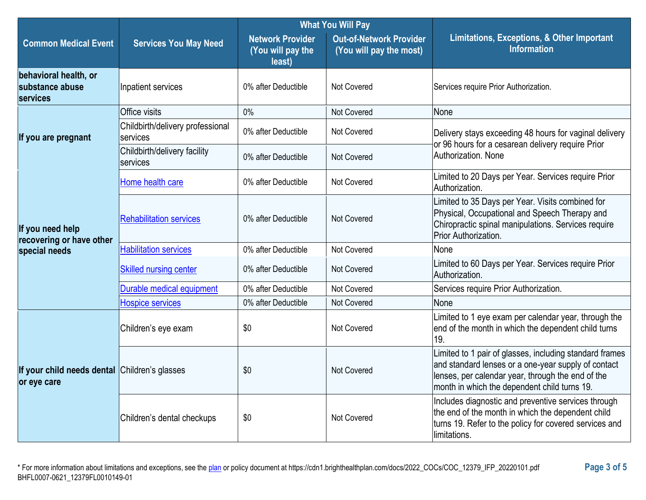|                                                              |                                              | <b>What You Will Pay</b>                               |                                                           |                                                                                                                                                                                                                     |  |
|--------------------------------------------------------------|----------------------------------------------|--------------------------------------------------------|-----------------------------------------------------------|---------------------------------------------------------------------------------------------------------------------------------------------------------------------------------------------------------------------|--|
| <b>Common Medical Event</b>                                  | <b>Services You May Need</b>                 | <b>Network Provider</b><br>(You will pay the<br>least) | <b>Out-of-Network Provider</b><br>(You will pay the most) | Limitations, Exceptions, & Other Important<br><b>Information</b>                                                                                                                                                    |  |
| behavioral health, or<br>substance abuse<br>services         | Inpatient services                           | 0% after Deductible                                    | <b>Not Covered</b>                                        | Services require Prior Authorization.                                                                                                                                                                               |  |
|                                                              | Office visits                                | 0%                                                     | Not Covered                                               | None                                                                                                                                                                                                                |  |
| If you are pregnant                                          | Childbirth/delivery professional<br>services | 0% after Deductible                                    | <b>Not Covered</b>                                        | Delivery stays exceeding 48 hours for vaginal delivery                                                                                                                                                              |  |
|                                                              | Childbirth/delivery facility<br>services     | 0% after Deductible                                    | <b>Not Covered</b>                                        | or 96 hours for a cesarean delivery require Prior<br>Authorization, None                                                                                                                                            |  |
|                                                              | Home health care                             | 0% after Deductible                                    | Not Covered                                               | Limited to 20 Days per Year. Services require Prior<br>Authorization.                                                                                                                                               |  |
| If you need help<br>recovering or have other                 | <b>Rehabilitation services</b>               | 0% after Deductible                                    | <b>Not Covered</b>                                        | Limited to 35 Days per Year. Visits combined for<br>Physical, Occupational and Speech Therapy and<br>Chiropractic spinal manipulations. Services require<br>Prior Authorization.                                    |  |
| special needs                                                | <b>Habilitation services</b>                 | 0% after Deductible                                    | <b>Not Covered</b>                                        | None                                                                                                                                                                                                                |  |
|                                                              | <b>Skilled nursing center</b>                | 0% after Deductible                                    | <b>Not Covered</b>                                        | Limited to 60 Days per Year. Services require Prior<br>Authorization.                                                                                                                                               |  |
|                                                              | Durable medical equipment                    | 0% after Deductible                                    | Not Covered                                               | Services require Prior Authorization.                                                                                                                                                                               |  |
|                                                              | <b>Hospice services</b>                      | 0% after Deductible                                    | <b>Not Covered</b>                                        | None                                                                                                                                                                                                                |  |
|                                                              | Children's eye exam                          | \$0                                                    | <b>Not Covered</b>                                        | Limited to 1 eye exam per calendar year, through the<br>end of the month in which the dependent child turns<br>19.                                                                                                  |  |
| If your child needs dental Children's glasses<br>or eye care |                                              | \$0                                                    | Not Covered                                               | Limited to 1 pair of glasses, including standard frames<br>and standard lenses or a one-year supply of contact<br>lenses, per calendar year, through the end of the<br>month in which the dependent child turns 19. |  |
|                                                              | Children's dental checkups                   | \$0                                                    | Not Covered                                               | Includes diagnostic and preventive services through<br>the end of the month in which the dependent child<br>turns 19. Refer to the policy for covered services and<br>limitations.                                  |  |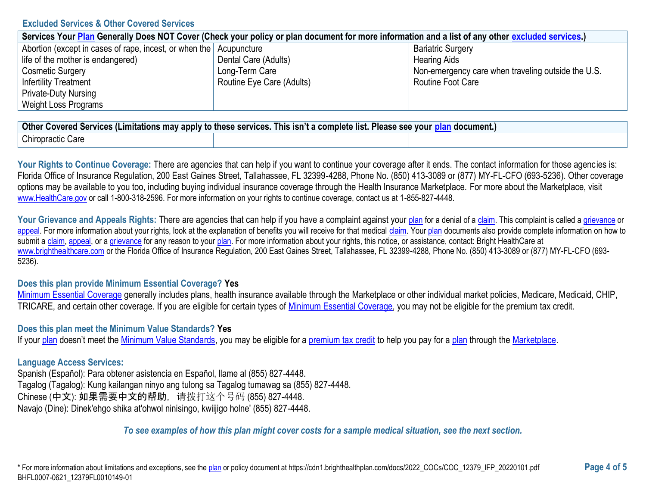### **Excluded Services & Other Covered Services**

| Services Your Plan Generally Does NOT Cover (Check your policy or plan document for more information and a list of any other excluded services.) |                           |                                                    |  |
|--------------------------------------------------------------------------------------------------------------------------------------------------|---------------------------|----------------------------------------------------|--|
| Abortion (except in cases of rape, incest, or when the Acupuncture                                                                               |                           | <b>Bariatric Surgery</b>                           |  |
| life of the mother is endangered)                                                                                                                | Dental Care (Adults)      | <b>Hearing Aids</b>                                |  |
| <b>Cosmetic Surgery</b>                                                                                                                          | Long-Term Care            | Non-emergency care when traveling outside the U.S. |  |
| <b>Infertility Treatment</b>                                                                                                                     | Routine Eye Care (Adults) | Routine Foot Care                                  |  |
| <b>Private-Duty Nursing</b>                                                                                                                      |                           |                                                    |  |
| Weight Loss Programs                                                                                                                             |                           |                                                    |  |

| <b>Other</b><br>y apply to these services.<br>This isn't a complete list.<br>Please see<br><u>`n</u> document.,<br>. Covered Services (Limitations may 1<br><b>vour</b> |  |  |  |
|-------------------------------------------------------------------------------------------------------------------------------------------------------------------------|--|--|--|
| Chiropractic Care                                                                                                                                                       |  |  |  |

Your Rights to Continue Coverage: There are agencies that can help if you want to continue your coverage after it ends. The contact information for those agencies is: Florida Office of Insurance Regulation, 200 East Gaines Street, Tallahassee, FL 32399-4288, Phone No. (850) 413-3089 or (877) MY-FL-CFO (693-5236). Other coverage options may be available to you too, including buying individual insurance coverage through the Health Insurance Marketplace. For more about the Marketplace, visit [www.HealthCare.gov](https://www.healthcare.gov/) or call 1-800-318-2596. For more information on your rights to continue coverage, contact us at 1-855-827-4448.

Your Grievance and Appeals Rights: There are agencies that can help if you have a complaint against your [plan](https://www.healthcare.gov/sbc-glossary/#plan) for a denial of [a claim.](https://www.healthcare.gov/sbc-glossary/#claim) This complaint is called a [grievance](https://www.healthcare.gov/sbc-glossary/#grievance) or [appeal.](https://www.healthcare.gov/sbc-glossary/#appeal) For more information about your rights, look at the explanation of benefits you will receive for that medical [claim.](https://www.healthcare.gov/sbc-glossary/#claim) You[r plan](https://www.healthcare.gov/sbc-glossary/#plan) documents also provide complete information on how to submit a [claim,](https://www.healthcare.gov/sbc-glossary/#claim) [appeal,](https://www.healthcare.gov/sbc-glossary/#appeal) or [a grievance](https://www.healthcare.gov/sbc-glossary/#grievance) for any reason to your [plan.](https://www.healthcare.gov/sbc-glossary/#plan) For more information about your rights, this notice, or assistance, contact: Bright HealthCare at [www.brighthealthcare.com](https://www.brighthealthcare.com/) or the Florida Office of Insurance Regulation, 200 East Gaines Street, Tallahassee, FL 32399-4288, Phone No. (850) 413-3089 or (877) MY-FL-CFO (693- 5236).

### **Does this plan provide Minimum Essential Coverage? Yes**

[Minimum Essential Coverage](https://www.healthcare.gov/sbc-glossary/#minimum-essential-coverage) generally includes plans, health insurance available through the Marketplace or other individual market policies, Medicare, Medicaid, CHIP, TRICARE, and certain other coverage. If you are eligible for certain types of [Minimum Essential Coverage,](https://www.healthcare.gov/sbc-glossary/#minimum-essential-coverage) you may not be eligible for the premium tax credit.

#### **Does this plan meet the Minimum Value Standards? Yes**

If you[r plan](https://www.healthcare.gov/sbc-glossary/#plan) doesn't meet the [Minimum Value Standards,](https://www.healthcare.gov/sbc-glossary/#minimum-value-standard) you may be eligible for a [premium tax credit](https://www.healthcare.gov/sbc-glossary/#premium-tax-credits) to help you pay for a [plan](https://www.healthcare.gov/sbc-glossary/#plan) through the [Marketplace.](https://www.healthcare.gov/sbc-glossary/#marketplace)

### **Language Access Services:**

Spanish (Español): Para obtener asistencia en Español, llame al (855) 827-4448. Tagalog (Tagalog): Kung kailangan ninyo ang tulong sa Tagalog tumawag sa (855) 827-4448. Chinese (中文): 如果需要中文的帮助,请拨打这个号码 (855) 827-4448. Navajo (Dine): Dinek'ehgo shika at'ohwol ninisingo, kwiijigo holne' (855) 827-4448.

### *To see examples of how this plan might cover costs for a sample medical situation, see the next section.*